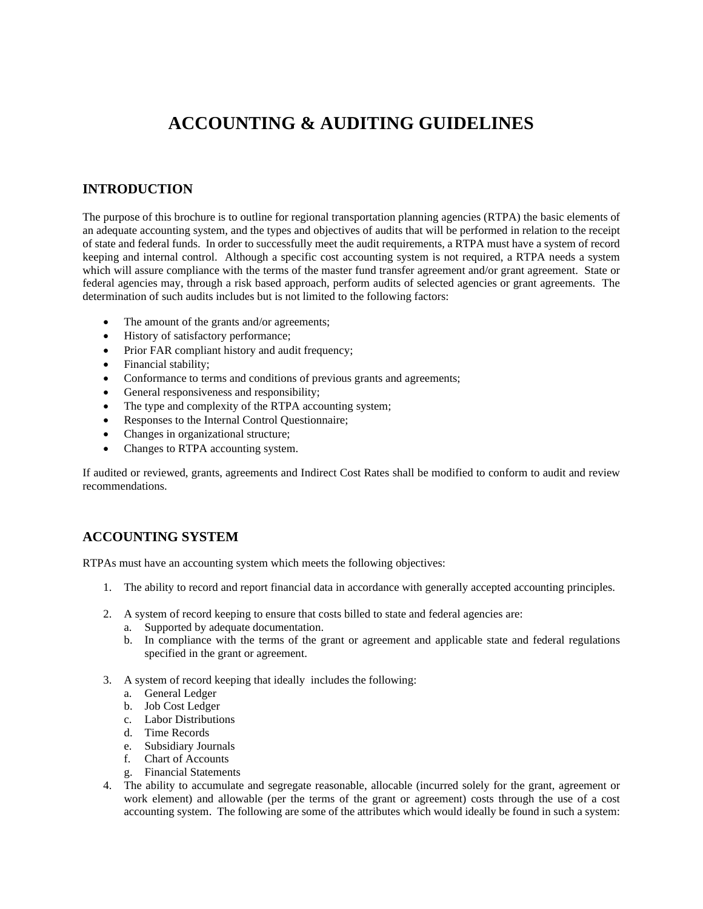# **ACCOUNTING & AUDITING GUIDELINES**

## **INTRODUCTION**

The purpose of this brochure is to outline for regional transportation planning agencies (RTPA) the basic elements of an adequate accounting system, and the types and objectives of audits that will be performed in relation to the receipt of state and federal funds. In order to successfully meet the audit requirements, a RTPA must have a system of record keeping and internal control. Although a specific cost accounting system is not required, a RTPA needs a system which will assure compliance with the terms of the master fund transfer agreement and/or grant agreement. State or federal agencies may, through a risk based approach, perform audits of selected agencies or grant agreements. The determination of such audits includes but is not limited to the following factors:

- The amount of the grants and/or agreements;
- History of satisfactory performance;
- Prior FAR compliant history and audit frequency;
- Financial stability;
- Conformance to terms and conditions of previous grants and agreements;
- General responsiveness and responsibility;
- The type and complexity of the RTPA accounting system;
- Responses to the Internal Control Questionnaire;
- Changes in organizational structure;
- Changes to RTPA accounting system.

If audited or reviewed, grants, agreements and Indirect Cost Rates shall be modified to conform to audit and review recommendations.

### **ACCOUNTING SYSTEM**

RTPAs must have an accounting system which meets the following objectives:

- 1. The ability to record and report financial data in accordance with generally accepted accounting principles.
- 2. A system of record keeping to ensure that costs billed to state and federal agencies are:
	- a. Supported by adequate documentation.
	- b. In compliance with the terms of the grant or agreement and applicable state and federal regulations specified in the grant or agreement.
- 3. A system of record keeping that ideally includes the following:
	- a. General Ledger
	- b. Job Cost Ledger
	- c. Labor Distributions
	- d. Time Records
	- e. Subsidiary Journals
	- f. Chart of Accounts
	- g. Financial Statements
- 4. The ability to accumulate and segregate reasonable, allocable (incurred solely for the grant, agreement or work element) and allowable (per the terms of the grant or agreement) costs through the use of a cost accounting system. The following are some of the attributes which would ideally be found in such a system: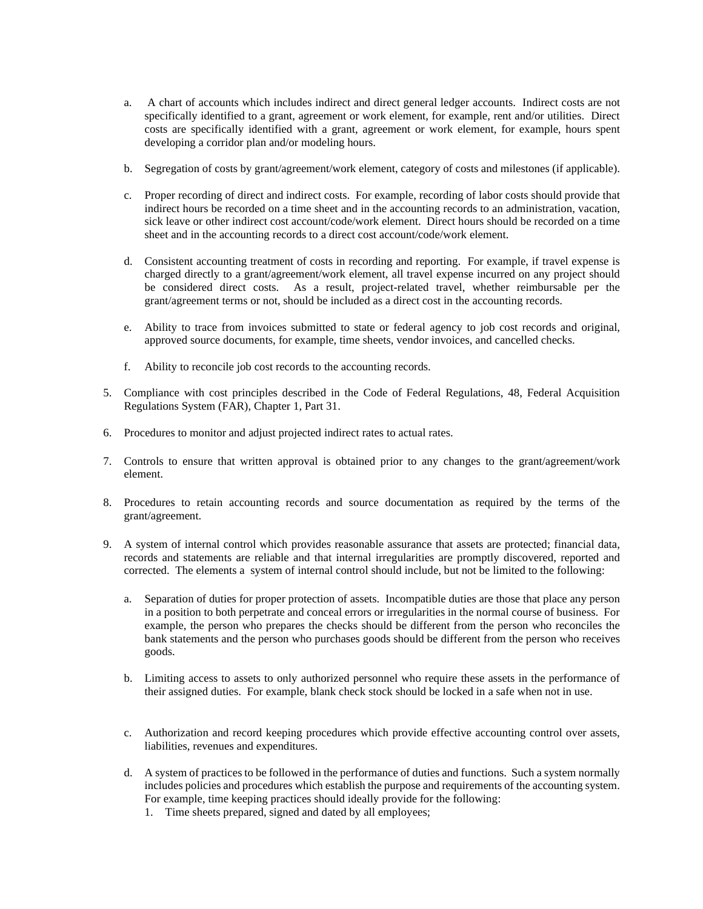- a. A chart of accounts which includes indirect and direct general ledger accounts. Indirect costs are not specifically identified to a grant, agreement or work element, for example, rent and/or utilities. Direct costs are specifically identified with a grant, agreement or work element, for example, hours spent developing a corridor plan and/or modeling hours.
- b. Segregation of costs by grant/agreement/work element, category of costs and milestones (if applicable).
- c. Proper recording of direct and indirect costs. For example, recording of labor costs should provide that indirect hours be recorded on a time sheet and in the accounting records to an administration, vacation, sick leave or other indirect cost account/code/work element. Direct hours should be recorded on a time sheet and in the accounting records to a direct cost account/code/work element.
- d. Consistent accounting treatment of costs in recording and reporting. For example, if travel expense is charged directly to a grant/agreement/work element, all travel expense incurred on any project should be considered direct costs. As a result, project-related travel, whether reimbursable per the grant/agreement terms or not, should be included as a direct cost in the accounting records.
- e. Ability to trace from invoices submitted to state or federal agency to job cost records and original, approved source documents, for example, time sheets, vendor invoices, and cancelled checks.
- f. Ability to reconcile job cost records to the accounting records.
- 5. Compliance with cost principles described in the Code of Federal Regulations, 48, Federal Acquisition Regulations System (FAR), Chapter 1, Part 31.
- 6. Procedures to monitor and adjust projected indirect rates to actual rates.
- 7. Controls to ensure that written approval is obtained prior to any changes to the grant/agreement/work element.
- 8. Procedures to retain accounting records and source documentation as required by the terms of the grant/agreement.
- 9. A system of internal control which provides reasonable assurance that assets are protected; financial data, records and statements are reliable and that internal irregularities are promptly discovered, reported and corrected. The elements a system of internal control should include, but not be limited to the following:
	- a. Separation of duties for proper protection of assets. Incompatible duties are those that place any person in a position to both perpetrate and conceal errors or irregularities in the normal course of business. For example, the person who prepares the checks should be different from the person who reconciles the bank statements and the person who purchases goods should be different from the person who receives goods.
	- b. Limiting access to assets to only authorized personnel who require these assets in the performance of their assigned duties. For example, blank check stock should be locked in a safe when not in use.
	- c. Authorization and record keeping procedures which provide effective accounting control over assets, liabilities, revenues and expenditures.
	- d. A system of practices to be followed in the performance of duties and functions. Such a system normally includes policies and procedures which establish the purpose and requirements of the accounting system. For example, time keeping practices should ideally provide for the following:
		- 1. Time sheets prepared, signed and dated by all employees;